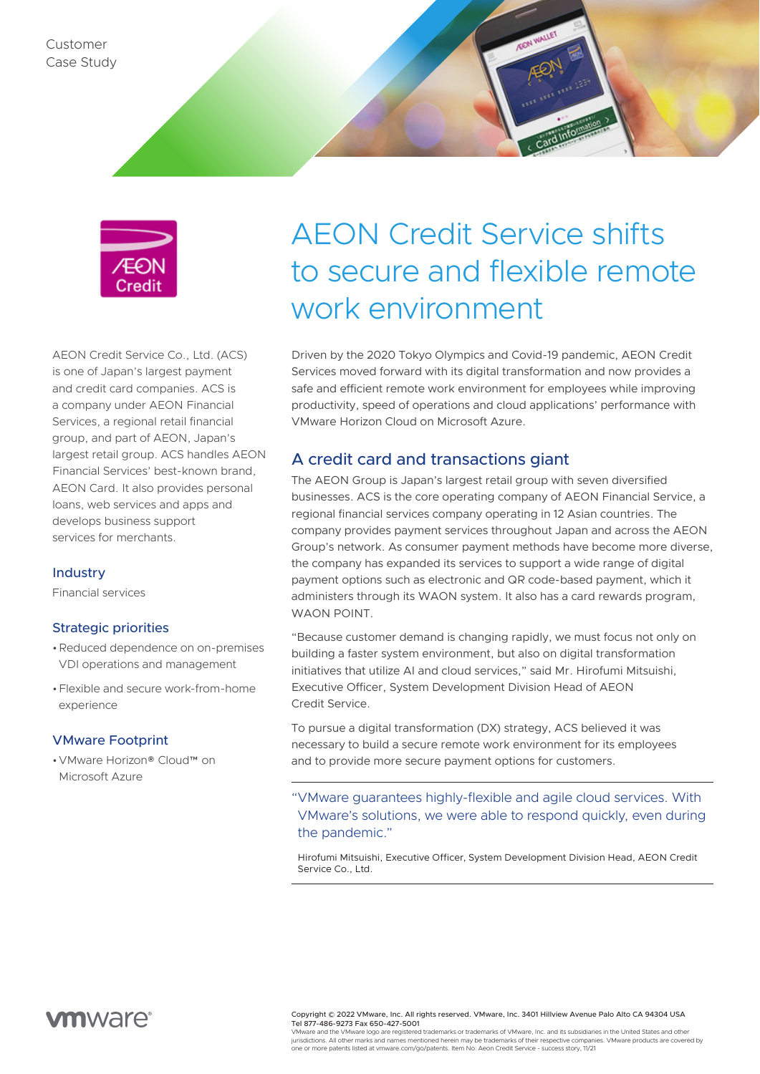

AEON Credit Service Co., Ltd. (ACS) is one of Japan's largest payment and credit card companies. ACS is a company under AEON Financial Services, a regional retail financial group, and part of AEON, Japan's largest retail group. ACS handles AEON Financial Services' best-known brand, AEON Card. It also provides personal loans, web services and apps and develops business support services for merchants.

#### **Industry**

Financial services

#### Strategic priorities

- •Reduced dependence on on-premises VDI operations and management
- •Flexible and secure work-from-home experience

#### VMware Footprint

•VMware Horizon® Cloud™ on Microsoft Azure

# AEON Credit Service shifts to secure and flexible remote work environment

Driven by the 2020 Tokyo Olympics and Covid-19 pandemic, AEON Credit Services moved forward with its digital transformation and now provides a safe and efficient remote work environment for employees while improving productivity, speed of operations and cloud applications' performance with VMware Horizon Cloud on Microsoft Azure.

### A credit card and transactions giant

The AEON Group is Japan's largest retail group with seven diversified businesses. ACS is the core operating company of AEON Financial Service, a regional financial services company operating in 12 Asian countries. The company provides payment services throughout Japan and across the AEON Group's network. As consumer payment methods have become more diverse, the company has expanded its services to support a wide range of digital payment options such as electronic and QR code-based payment, which it administers through its WAON system. It also has a card rewards program, WAON POINT.

"Because customer demand is changing rapidly, we must focus not only on building a faster system environment, but also on digital transformation initiatives that utilize AI and cloud services," said Mr. Hirofumi Mitsuishi, Executive Officer, System Development Division Head of AEON Credit Service.

To pursue a digital transformation (DX) strategy, ACS believed it was necessary to build a secure remote work environment for its employees and to provide more secure payment options for customers.

"VMware guarantees highly-flexible and agile cloud services. With VMware's solutions, we were able to respond quickly, even during the pandemic."

Hirofumi Mitsuishi, Executive Officer, System Development Division Head, AEON Credit Service Co., Ltd.



Copyright © 2022 VMware, Inc. All rights reserved. VMware, Inc. 3401 Hillview Avenue Palo Alto CA 94304 USA Tel 877-486-9273 Fax 650-427-5001

VMware and the VMware logo are registered trademarks or trademarks of VMware, Inc. and its subsidiaries in the United States and other jurisdictions. All other marks and names mentioned herein may be trademarks of their respective companies. VMware products are covered by one or more patents listed at vmware.com/go/patents. Item No: Aeon Credit Service - success story, 11/21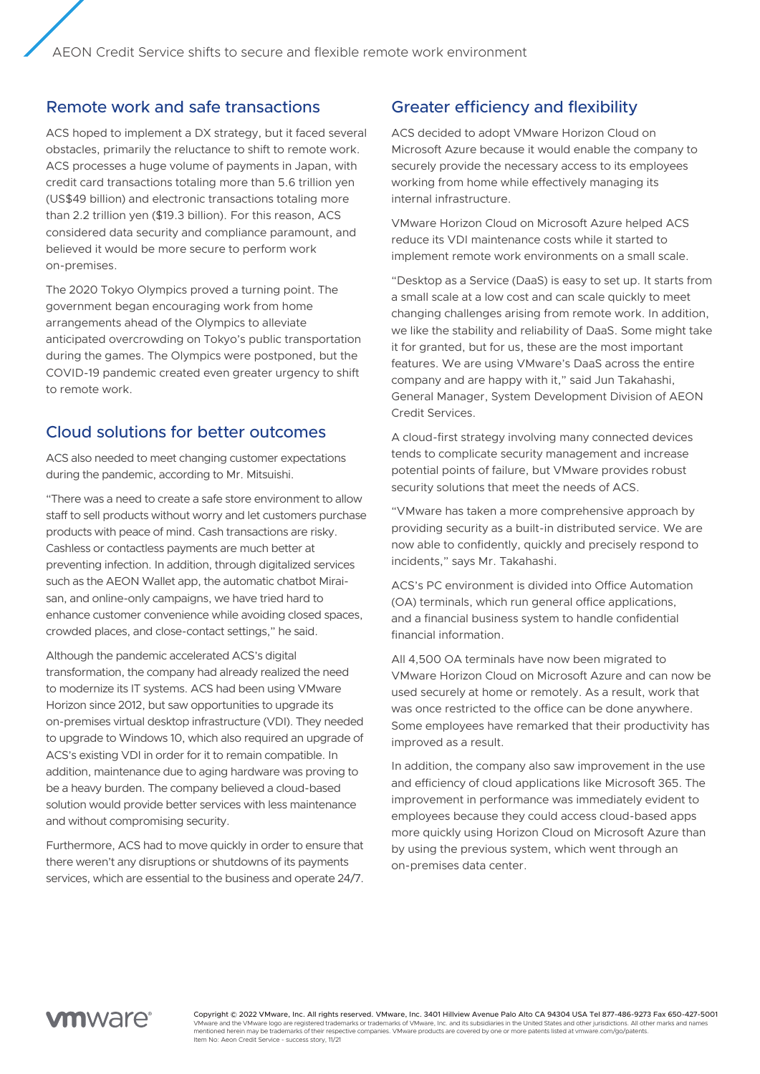## Remote work and safe transactions

ACS hoped to implement a DX strategy, but it faced several obstacles, primarily the reluctance to shift to remote work. ACS processes a huge volume of payments in Japan, with credit card transactions totaling more than 5.6 trillion yen (US\$49 billion) and electronic transactions totaling more than 2.2 trillion yen (\$19.3 billion). For this reason, ACS considered data security and compliance paramount, and believed it would be more secure to perform work on-premises.

The 2020 Tokyo Olympics proved a turning point. The government began encouraging work from home arrangements ahead of the Olympics to alleviate anticipated overcrowding on Tokyo's public transportation during the games. The Olympics were postponed, but the COVID-19 pandemic created even greater urgency to shift to remote work.

#### Cloud solutions for better outcomes

ACS also needed to meet changing customer expectations during the pandemic, according to Mr. Mitsuishi.

"There was a need to create a safe store environment to allow staff to sell products without worry and let customers purchase products with peace of mind. Cash transactions are risky. Cashless or contactless payments are much better at preventing infection. In addition, through digitalized services such as the AEON Wallet app, the automatic chatbot Miraisan, and online-only campaigns, we have tried hard to enhance customer convenience while avoiding closed spaces, crowded places, and close-contact settings," he said.

Although the pandemic accelerated ACS's digital transformation, the company had already realized the need to modernize its IT systems. ACS had been using VMware Horizon since 2012, but saw opportunities to upgrade its on-premises virtual desktop infrastructure (VDI). They needed to upgrade to Windows 10, which also required an upgrade of ACS's existing VDI in order for it to remain compatible. In addition, maintenance due to aging hardware was proving to be a heavy burden. The company believed a cloud-based solution would provide better services with less maintenance and without compromising security.

Furthermore, ACS had to move quickly in order to ensure that there weren't any disruptions or shutdowns of its payments services, which are essential to the business and operate 24/7.

## Greater efficiency and flexibility

ACS decided to adopt VMware Horizon Cloud on Microsoft Azure because it would enable the company to securely provide the necessary access to its employees working from home while effectively managing its internal infrastructure.

VMware Horizon Cloud on Microsoft Azure helped ACS reduce its VDI maintenance costs while it started to implement remote work environments on a small scale.

"Desktop as a Service (DaaS) is easy to set up. It starts from a small scale at a low cost and can scale quickly to meet changing challenges arising from remote work. In addition, we like the stability and reliability of DaaS. Some might take it for granted, but for us, these are the most important features. We are using VMware's DaaS across the entire company and are happy with it," said Jun Takahashi, General Manager, System Development Division of AEON Credit Services.

A cloud-first strategy involving many connected devices tends to complicate security management and increase potential points of failure, but VMware provides robust security solutions that meet the needs of ACS.

"VMware has taken a more comprehensive approach by providing security as a built-in distributed service. We are now able to confidently, quickly and precisely respond to incidents," says Mr. Takahashi.

ACS's PC environment is divided into Office Automation (OA) terminals, which run general office applications, and a financial business system to handle confidential financial information.

All 4,500 OA terminals have now been migrated to VMware Horizon Cloud on Microsoft Azure and can now be used securely at home or remotely. As a result, work that was once restricted to the office can be done anywhere. Some employees have remarked that their productivity has improved as a result.

In addition, the company also saw improvement in the use and efficiency of cloud applications like Microsoft 365. The improvement in performance was immediately evident to employees because they could access cloud-based apps more quickly using Horizon Cloud on Microsoft Azure than by using the previous system, which went through an on-premises data center.



Copyright © 2022 VMware, Inc. All rights reserved. VMware, Inc. 3401 Hillview Avenue Palo Alto CA 94304 USA Tel 877-486-9273 Fax 650-427-5001 VMware and the VMware logo are registered trademarks or trademarks of VMware, Inc. and its subsidiaries in the United States and other jurisdictions. All other marks and names<br>mentioned herein may be trademarks of their re Item No: Aeon Credit Service - success story, 11/21